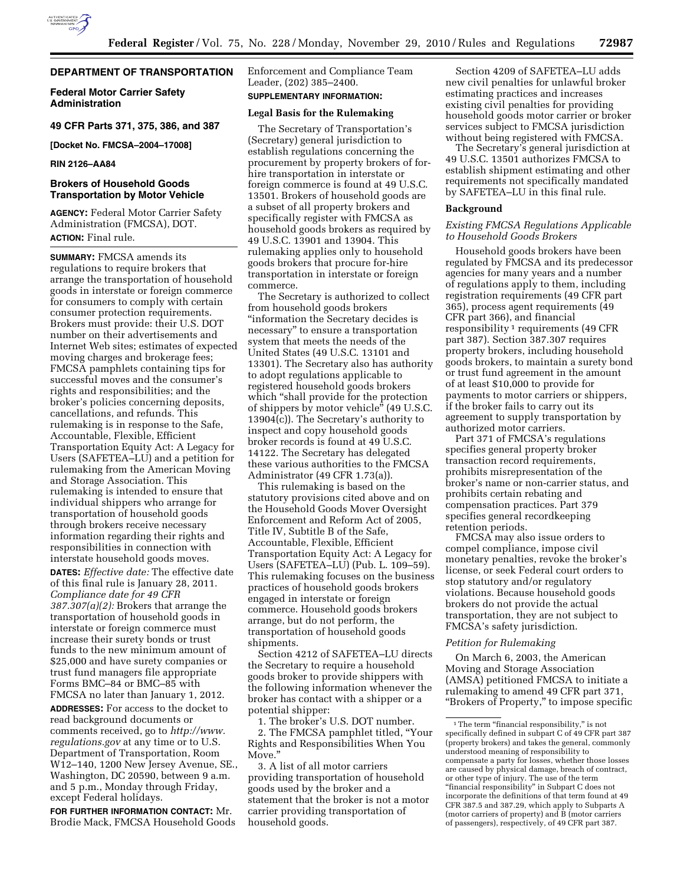

# **DEPARTMENT OF TRANSPORTATION**

**Federal Motor Carrier Safety Administration** 

# **49 CFR Parts 371, 375, 386, and 387**

**[Docket No. FMCSA–2004–17008]** 

### **RIN 2126–AA84**

## **Brokers of Household Goods Transportation by Motor Vehicle**

**AGENCY:** Federal Motor Carrier Safety Administration (FMCSA), DOT. **ACTION:** Final rule.

**SUMMARY:** FMCSA amends its regulations to require brokers that arrange the transportation of household goods in interstate or foreign commerce for consumers to comply with certain consumer protection requirements. Brokers must provide: their U.S. DOT number on their advertisements and Internet Web sites; estimates of expected moving charges and brokerage fees; FMCSA pamphlets containing tips for successful moves and the consumer's rights and responsibilities; and the broker's policies concerning deposits, cancellations, and refunds. This rulemaking is in response to the Safe, Accountable, Flexible, Efficient Transportation Equity Act: A Legacy for Users (SAFETEA–LU) and a petition for rulemaking from the American Moving and Storage Association. This rulemaking is intended to ensure that individual shippers who arrange for transportation of household goods through brokers receive necessary information regarding their rights and responsibilities in connection with interstate household goods moves.

**DATES:** *Effective date:* The effective date of this final rule is January 28, 2011. *Compliance date for 49 CFR 387.307(a)(2):* Brokers that arrange the transportation of household goods in interstate or foreign commerce must increase their surety bonds or trust funds to the new minimum amount of \$25,000 and have surety companies or trust fund managers file appropriate Forms BMC–84 or BMC–85 with FMCSA no later than January 1, 2012.

**ADDRESSES:** For access to the docket to read background documents or comments received, go to *[http://www.](http://www.regulations.gov) [regulations.gov](http://www.regulations.gov)* at any time or to U.S. Department of Transportation, Room W12–140, 1200 New Jersey Avenue, SE., Washington, DC 20590, between 9 a.m. and 5 p.m., Monday through Friday, except Federal holidays.

**FOR FURTHER INFORMATION CONTACT:** Mr. Brodie Mack, FMCSA Household Goods Enforcement and Compliance Team Leader, (202) 385–2400.

# **SUPPLEMENTARY INFORMATION:**

### **Legal Basis for the Rulemaking**

The Secretary of Transportation's (Secretary) general jurisdiction to establish regulations concerning the procurement by property brokers of forhire transportation in interstate or foreign commerce is found at 49 U.S.C. 13501. Brokers of household goods are a subset of all property brokers and specifically register with FMCSA as household goods brokers as required by 49 U.S.C. 13901 and 13904. This rulemaking applies only to household goods brokers that procure for-hire transportation in interstate or foreign commerce.

The Secretary is authorized to collect from household goods brokers ''information the Secretary decides is necessary'' to ensure a transportation system that meets the needs of the United States (49 U.S.C. 13101 and 13301). The Secretary also has authority to adopt regulations applicable to registered household goods brokers which "shall provide for the protection of shippers by motor vehicle'' (49 U.S.C. 13904(c)). The Secretary's authority to inspect and copy household goods broker records is found at 49 U.S.C. 14122. The Secretary has delegated these various authorities to the FMCSA Administrator (49 CFR 1.73(a)).

This rulemaking is based on the statutory provisions cited above and on the Household Goods Mover Oversight Enforcement and Reform Act of 2005, Title IV, Subtitle B of the Safe, Accountable, Flexible, Efficient Transportation Equity Act: A Legacy for Users (SAFETEA–LU) (Pub. L. 109–59). This rulemaking focuses on the business practices of household goods brokers engaged in interstate or foreign commerce. Household goods brokers arrange, but do not perform, the transportation of household goods shipments.

Section 4212 of SAFETEA–LU directs the Secretary to require a household goods broker to provide shippers with the following information whenever the broker has contact with a shipper or a potential shipper:

1. The broker's U.S. DOT number. 2. The FMCSA pamphlet titled, ''Your Rights and Responsibilities When You Move.''

3. A list of all motor carriers providing transportation of household goods used by the broker and a statement that the broker is not a motor carrier providing transportation of household goods.

Section 4209 of SAFETEA–LU adds new civil penalties for unlawful broker estimating practices and increases existing civil penalties for providing household goods motor carrier or broker services subject to FMCSA jurisdiction without being registered with FMCSA.

The Secretary's general jurisdiction at 49 U.S.C. 13501 authorizes FMCSA to establish shipment estimating and other requirements not specifically mandated by SAFETEA–LU in this final rule.

#### **Background**

#### *Existing FMCSA Regulations Applicable to Household Goods Brokers*

Household goods brokers have been regulated by FMCSA and its predecessor agencies for many years and a number of regulations apply to them, including registration requirements (49 CFR part 365), process agent requirements (49 CFR part 366), and financial responsibility 1 requirements (49 CFR part 387). Section 387.307 requires property brokers, including household goods brokers, to maintain a surety bond or trust fund agreement in the amount of at least \$10,000 to provide for payments to motor carriers or shippers, if the broker fails to carry out its agreement to supply transportation by authorized motor carriers.

Part 371 of FMCSA's regulations specifies general property broker transaction record requirements, prohibits misrepresentation of the broker's name or non-carrier status, and prohibits certain rebating and compensation practices. Part 379 specifies general recordkeeping retention periods.

FMCSA may also issue orders to compel compliance, impose civil monetary penalties, revoke the broker's license, or seek Federal court orders to stop statutory and/or regulatory violations. Because household goods brokers do not provide the actual transportation, they are not subject to FMCSA's safety jurisdiction.

## *Petition for Rulemaking*

On March 6, 2003, the American Moving and Storage Association (AMSA) petitioned FMCSA to initiate a rulemaking to amend 49 CFR part 371, ''Brokers of Property,'' to impose specific

 $^{\rm 1}$  The term "financial responsibility," is not specifically defined in subpart C of 49 CFR part 387 (property brokers) and takes the general, commonly understood meaning of responsibility to compensate a party for losses, whether those losses are caused by physical damage, breach of contract, or other type of injury. The use of the term "financial responsibility" in Subpart C does not incorporate the definitions of that term found at 49 CFR 387.5 and 387.29, which apply to Subparts A (motor carriers of property) and B (motor carriers of passengers), respectively, of 49 CFR part 387.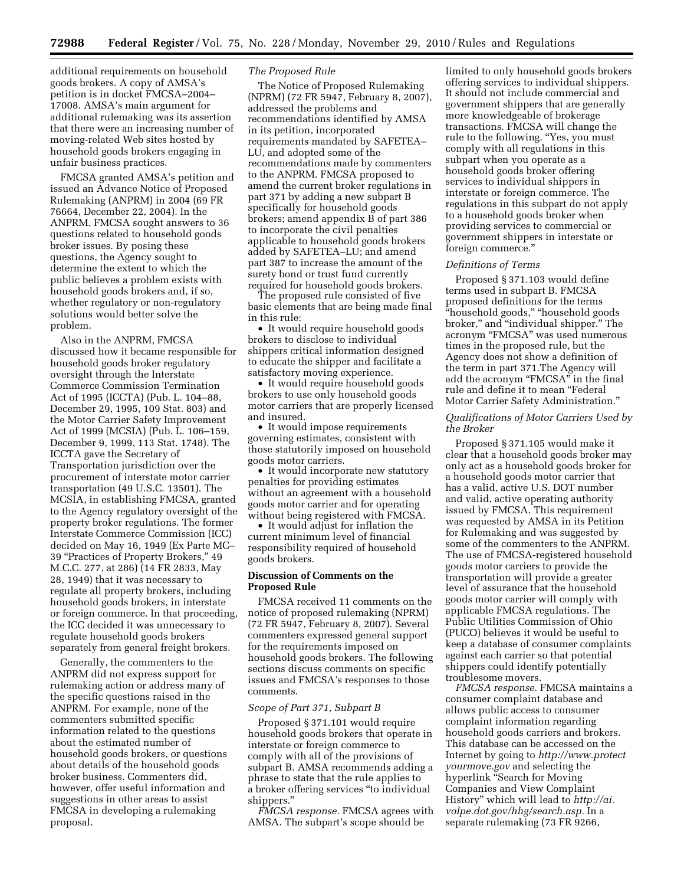additional requirements on household goods brokers. A copy of AMSA's petition is in docket FMCSA–2004– 17008. AMSA's main argument for additional rulemaking was its assertion that there were an increasing number of moving-related Web sites hosted by household goods brokers engaging in unfair business practices.

FMCSA granted AMSA's petition and issued an Advance Notice of Proposed Rulemaking (ANPRM) in 2004 (69 FR 76664, December 22, 2004). In the ANPRM, FMCSA sought answers to 36 questions related to household goods broker issues. By posing these questions, the Agency sought to determine the extent to which the public believes a problem exists with household goods brokers and, if so, whether regulatory or non-regulatory solutions would better solve the problem.

Also in the ANPRM, FMCSA discussed how it became responsible for household goods broker regulatory oversight through the Interstate Commerce Commission Termination Act of 1995 (ICCTA) (Pub. L. 104–88, December 29, 1995, 109 Stat. 803) and the Motor Carrier Safety Improvement Act of 1999 (MCSIA) (Pub. L. 106–159, December 9, 1999, 113 Stat. 1748). The ICCTA gave the Secretary of Transportation jurisdiction over the procurement of interstate motor carrier transportation (49 U.S.C. 13501). The MCSIA, in establishing FMCSA, granted to the Agency regulatory oversight of the property broker regulations. The former Interstate Commerce Commission (ICC) decided on May 16, 1949 (Ex Parte MC– 39 ''Practices of Property Brokers,'' 49 M.C.C. 277, at 286) (14 FR 2833, May 28, 1949) that it was necessary to regulate all property brokers, including household goods brokers, in interstate or foreign commerce. In that proceeding, the ICC decided it was unnecessary to regulate household goods brokers separately from general freight brokers.

Generally, the commenters to the ANPRM did not express support for rulemaking action or address many of the specific questions raised in the ANPRM. For example, none of the commenters submitted specific information related to the questions about the estimated number of household goods brokers, or questions about details of the household goods broker business. Commenters did, however, offer useful information and suggestions in other areas to assist FMCSA in developing a rulemaking proposal.

#### *The Proposed Rule*

The Notice of Proposed Rulemaking (NPRM) (72 FR 5947, February 8, 2007), addressed the problems and recommendations identified by AMSA in its petition, incorporated requirements mandated by SAFETEA– LU, and adopted some of the recommendations made by commenters to the ANPRM. FMCSA proposed to amend the current broker regulations in part 371 by adding a new subpart B specifically for household goods brokers; amend appendix B of part 386 to incorporate the civil penalties applicable to household goods brokers added by SAFETEA–LU; and amend part 387 to increase the amount of the surety bond or trust fund currently required for household goods brokers.

The proposed rule consisted of five basic elements that are being made final in this rule:

• It would require household goods brokers to disclose to individual shippers critical information designed to educate the shipper and facilitate a satisfactory moving experience.

• It would require household goods brokers to use only household goods motor carriers that are properly licensed and insured.

• It would impose requirements governing estimates, consistent with those statutorily imposed on household goods motor carriers.

• It would incorporate new statutory penalties for providing estimates without an agreement with a household goods motor carrier and for operating without being registered with FMCSA.

• It would adjust for inflation the current minimum level of financial responsibility required of household goods brokers.

# **Discussion of Comments on the Proposed Rule**

FMCSA received 11 comments on the notice of proposed rulemaking (NPRM) (72 FR 5947, February 8, 2007). Several commenters expressed general support for the requirements imposed on household goods brokers. The following sections discuss comments on specific issues and FMCSA's responses to those comments.

#### *Scope of Part 371, Subpart B*

Proposed § 371.101 would require household goods brokers that operate in interstate or foreign commerce to comply with all of the provisions of subpart B. AMSA recommends adding a phrase to state that the rule applies to a broker offering services ''to individual shippers.''

*FMCSA response.* FMCSA agrees with AMSA. The subpart's scope should be

limited to only household goods brokers offering services to individual shippers. It should not include commercial and government shippers that are generally more knowledgeable of brokerage transactions. FMCSA will change the rule to the following. "Yes, you must comply with all regulations in this subpart when you operate as a household goods broker offering services to individual shippers in interstate or foreign commerce. The regulations in this subpart do not apply to a household goods broker when providing services to commercial or government shippers in interstate or foreign commerce.''

#### *Definitions of Terms*

Proposed § 371.103 would define terms used in subpart B. FMCSA proposed definitions for the terms ''household goods,'' ''household goods broker,'' and ''individual shipper.'' The acronym ''FMCSA'' was used numerous times in the proposed rule, but the Agency does not show a definition of the term in part 371.The Agency will add the acronym "FMCSA" in the final rule and define it to mean ''Federal Motor Carrier Safety Administration.''

# *Qualifications of Motor Carriers Used by the Broker*

Proposed § 371.105 would make it clear that a household goods broker may only act as a household goods broker for a household goods motor carrier that has a valid, active U.S. DOT number and valid, active operating authority issued by FMCSA. This requirement was requested by AMSA in its Petition for Rulemaking and was suggested by some of the commenters to the ANPRM. The use of FMCSA-registered household goods motor carriers to provide the transportation will provide a greater level of assurance that the household goods motor carrier will comply with applicable FMCSA regulations. The Public Utilities Commission of Ohio (PUCO) believes it would be useful to keep a database of consumer complaints against each carrier so that potential shippers could identify potentially troublesome movers.

*FMCSA response.* FMCSA maintains a consumer complaint database and allows public access to consumer complaint information regarding household goods carriers and brokers. This database can be accessed on the Internet by going to *[http://www.protect](http://www.protectyourmove.gov) [yourmove.gov](http://www.protectyourmove.gov)* and selecting the hyperlink ''Search for Moving Companies and View Complaint History'' which will lead to *[http://ai.](http://ai.volpe.dot.gov/hhg/search.asp) [volpe.dot.gov/hhg/search.asp.](http://ai.volpe.dot.gov/hhg/search.asp)* In a separate rulemaking (73 FR 9266,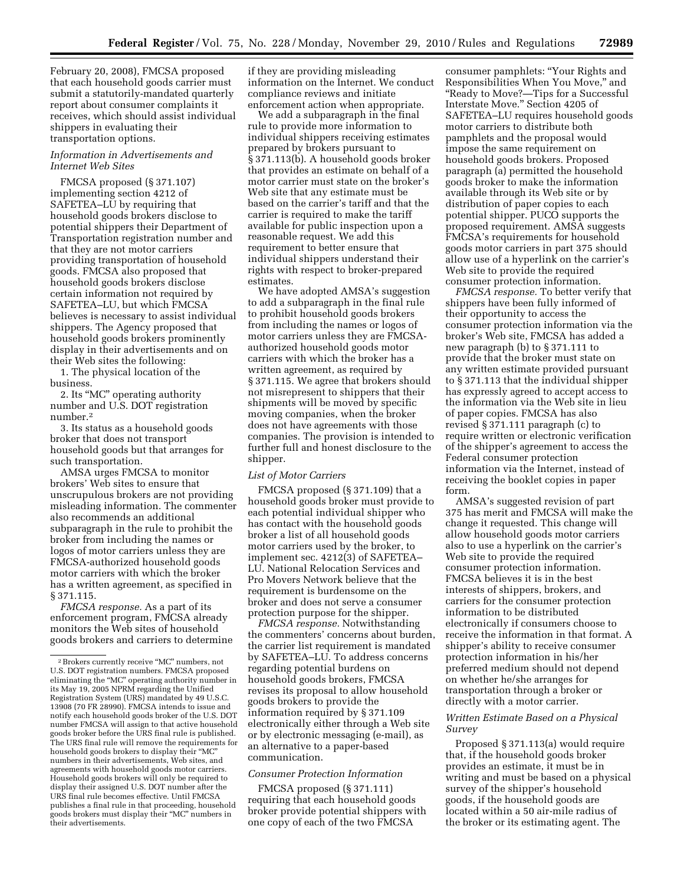February 20, 2008), FMCSA proposed that each household goods carrier must submit a statutorily-mandated quarterly report about consumer complaints it receives, which should assist individual shippers in evaluating their transportation options.

### *Information in Advertisements and Internet Web Sites*

FMCSA proposed (§ 371.107) implementing section 4212 of SAFETEA–LU by requiring that household goods brokers disclose to potential shippers their Department of Transportation registration number and that they are not motor carriers providing transportation of household goods. FMCSA also proposed that household goods brokers disclose certain information not required by SAFETEA–LU, but which FMCSA believes is necessary to assist individual shippers. The Agency proposed that household goods brokers prominently display in their advertisements and on their Web sites the following:

1. The physical location of the business.

2. Its ''MC'' operating authority number and U.S. DOT registration number<sup>2</sup>

3. Its status as a household goods broker that does not transport household goods but that arranges for such transportation.

AMSA urges FMCSA to monitor brokers' Web sites to ensure that unscrupulous brokers are not providing misleading information. The commenter also recommends an additional subparagraph in the rule to prohibit the broker from including the names or logos of motor carriers unless they are FMCSA-authorized household goods motor carriers with which the broker has a written agreement, as specified in § 371.115.

*FMCSA response.* As a part of its enforcement program, FMCSA already monitors the Web sites of household goods brokers and carriers to determine if they are providing misleading information on the Internet. We conduct compliance reviews and initiate enforcement action when appropriate.

We add a subparagraph in the final rule to provide more information to individual shippers receiving estimates prepared by brokers pursuant to § 371.113(b). A household goods broker that provides an estimate on behalf of a motor carrier must state on the broker's Web site that any estimate must be based on the carrier's tariff and that the carrier is required to make the tariff available for public inspection upon a reasonable request. We add this requirement to better ensure that individual shippers understand their rights with respect to broker-prepared estimates.

We have adopted AMSA's suggestion to add a subparagraph in the final rule to prohibit household goods brokers from including the names or logos of motor carriers unless they are FMCSAauthorized household goods motor carriers with which the broker has a written agreement, as required by § 371.115. We agree that brokers should not misrepresent to shippers that their shipments will be moved by specific moving companies, when the broker does not have agreements with those companies. The provision is intended to further full and honest disclosure to the shipper.

#### *List of Motor Carriers*

FMCSA proposed (§ 371.109) that a household goods broker must provide to each potential individual shipper who has contact with the household goods broker a list of all household goods motor carriers used by the broker, to implement sec. 4212(3) of SAFETEA– LU. National Relocation Services and Pro Movers Network believe that the requirement is burdensome on the broker and does not serve a consumer protection purpose for the shipper.

*FMCSA response.* Notwithstanding the commenters' concerns about burden, the carrier list requirement is mandated by SAFETEA–LU. To address concerns regarding potential burdens on household goods brokers, FMCSA revises its proposal to allow household goods brokers to provide the information required by § 371.109 electronically either through a Web site or by electronic messaging (e-mail), as an alternative to a paper-based communication.

#### *Consumer Protection Information*

FMCSA proposed (§ 371.111) requiring that each household goods broker provide potential shippers with one copy of each of the two FMCSA

consumer pamphlets: ''Your Rights and Responsibilities When You Move,'' and ''Ready to Move?—Tips for a Successful Interstate Move.'' Section 4205 of SAFETEA–LU requires household goods motor carriers to distribute both pamphlets and the proposal would impose the same requirement on household goods brokers. Proposed paragraph (a) permitted the household goods broker to make the information available through its Web site or by distribution of paper copies to each potential shipper. PUCO supports the proposed requirement. AMSA suggests FMCSA's requirements for household goods motor carriers in part 375 should allow use of a hyperlink on the carrier's Web site to provide the required consumer protection information.

*FMCSA response.* To better verify that shippers have been fully informed of their opportunity to access the consumer protection information via the broker's Web site, FMCSA has added a new paragraph (b) to § 371.111 to provide that the broker must state on any written estimate provided pursuant to § 371.113 that the individual shipper has expressly agreed to accept access to the information via the Web site in lieu of paper copies. FMCSA has also revised § 371.111 paragraph (c) to require written or electronic verification of the shipper's agreement to access the Federal consumer protection information via the Internet, instead of receiving the booklet copies in paper form.

AMSA's suggested revision of part 375 has merit and FMCSA will make the change it requested. This change will allow household goods motor carriers also to use a hyperlink on the carrier's Web site to provide the required consumer protection information. FMCSA believes it is in the best interests of shippers, brokers, and carriers for the consumer protection information to be distributed electronically if consumers choose to receive the information in that format. A shipper's ability to receive consumer protection information in his/her preferred medium should not depend on whether he/she arranges for transportation through a broker or directly with a motor carrier.

#### *Written Estimate Based on a Physical Survey*

Proposed § 371.113(a) would require that, if the household goods broker provides an estimate, it must be in writing and must be based on a physical survey of the shipper's household goods, if the household goods are located within a 50 air-mile radius of the broker or its estimating agent. The

 $\,$  2 Brokers currently receive "MC" numbers, not U.S. DOT registration numbers. FMCSA proposed eliminating the ''MC'' operating authority number in its May 19, 2005 NPRM regarding the Unified Registration System (URS) mandated by 49 U.S.C. 13908 (70 FR 28990). FMCSA intends to issue and notify each household goods broker of the U.S. DOT number FMCSA will assign to that active household goods broker before the URS final rule is published. The URS final rule will remove the requirements for household goods brokers to display their ''MC'' numbers in their advertisements, Web sites, and agreements with household goods motor carriers. Household goods brokers will only be required to display their assigned U.S. DOT number after the URS final rule becomes effective. Until FMCSA publishes a final rule in that proceeding, household goods brokers must display their ''MC'' numbers in their advertisements.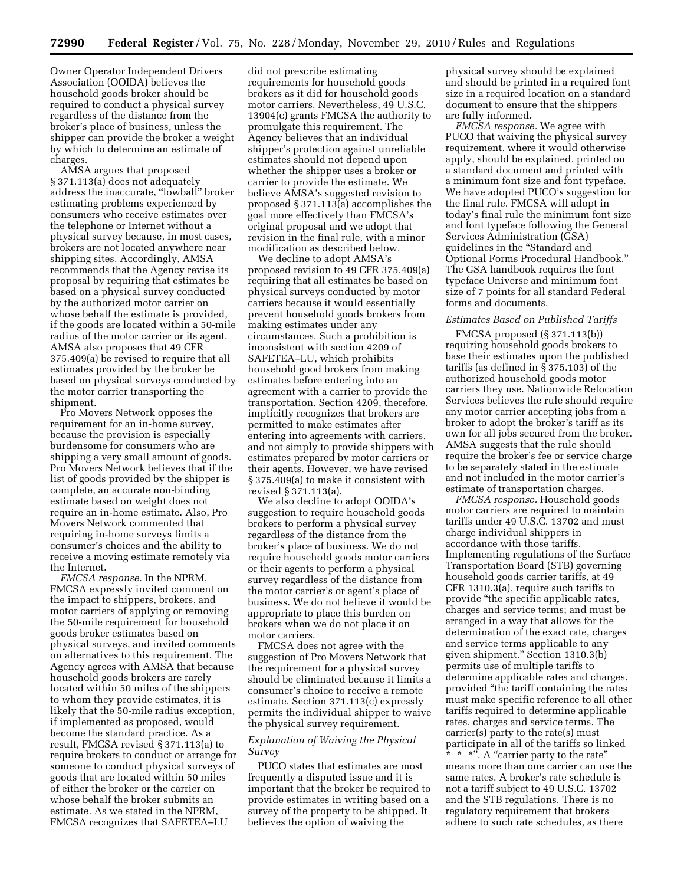Owner Operator Independent Drivers Association (OOIDA) believes the household goods broker should be required to conduct a physical survey regardless of the distance from the broker's place of business, unless the shipper can provide the broker a weight by which to determine an estimate of charges.

AMSA argues that proposed § 371.113(a) does not adequately address the inaccurate, ''lowball'' broker estimating problems experienced by consumers who receive estimates over the telephone or Internet without a physical survey because, in most cases, brokers are not located anywhere near shipping sites. Accordingly, AMSA recommends that the Agency revise its proposal by requiring that estimates be based on a physical survey conducted by the authorized motor carrier on whose behalf the estimate is provided, if the goods are located within a 50-mile radius of the motor carrier or its agent. AMSA also proposes that 49 CFR 375.409(a) be revised to require that all estimates provided by the broker be based on physical surveys conducted by the motor carrier transporting the shipment.

Pro Movers Network opposes the requirement for an in-home survey, because the provision is especially burdensome for consumers who are shipping a very small amount of goods. Pro Movers Network believes that if the list of goods provided by the shipper is complete, an accurate non-binding estimate based on weight does not require an in-home estimate. Also, Pro Movers Network commented that requiring in-home surveys limits a consumer's choices and the ability to receive a moving estimate remotely via the Internet.

*FMCSA response.* In the NPRM, FMCSA expressly invited comment on the impact to shippers, brokers, and motor carriers of applying or removing the 50-mile requirement for household goods broker estimates based on physical surveys, and invited comments on alternatives to this requirement. The Agency agrees with AMSA that because household goods brokers are rarely located within 50 miles of the shippers to whom they provide estimates, it is likely that the 50-mile radius exception, if implemented as proposed, would become the standard practice. As a result, FMCSA revised § 371.113(a) to require brokers to conduct or arrange for someone to conduct physical surveys of goods that are located within 50 miles of either the broker or the carrier on whose behalf the broker submits an estimate. As we stated in the NPRM, FMCSA recognizes that SAFETEA–LU

did not prescribe estimating requirements for household goods brokers as it did for household goods motor carriers. Nevertheless, 49 U.S.C. 13904(c) grants FMCSA the authority to promulgate this requirement. The Agency believes that an individual shipper's protection against unreliable estimates should not depend upon whether the shipper uses a broker or carrier to provide the estimate. We believe AMSA's suggested revision to proposed § 371.113(a) accomplishes the goal more effectively than FMCSA's original proposal and we adopt that revision in the final rule, with a minor modification as described below.

We decline to adopt AMSA's proposed revision to 49 CFR 375.409(a) requiring that all estimates be based on physical surveys conducted by motor carriers because it would essentially prevent household goods brokers from making estimates under any circumstances. Such a prohibition is inconsistent with section 4209 of SAFETEA–LU, which prohibits household good brokers from making estimates before entering into an agreement with a carrier to provide the transportation. Section 4209, therefore, implicitly recognizes that brokers are permitted to make estimates after entering into agreements with carriers, and not simply to provide shippers with estimates prepared by motor carriers or their agents. However, we have revised § 375.409(a) to make it consistent with revised § 371.113(a).

We also decline to adopt OOIDA's suggestion to require household goods brokers to perform a physical survey regardless of the distance from the broker's place of business. We do not require household goods motor carriers or their agents to perform a physical survey regardless of the distance from the motor carrier's or agent's place of business. We do not believe it would be appropriate to place this burden on brokers when we do not place it on motor carriers.

FMCSA does not agree with the suggestion of Pro Movers Network that the requirement for a physical survey should be eliminated because it limits a consumer's choice to receive a remote estimate. Section 371.113(c) expressly permits the individual shipper to waive the physical survey requirement.

# *Explanation of Waiving the Physical Survey*

PUCO states that estimates are most frequently a disputed issue and it is important that the broker be required to provide estimates in writing based on a survey of the property to be shipped. It believes the option of waiving the

physical survey should be explained and should be printed in a required font size in a required location on a standard document to ensure that the shippers are fully informed.

*FMCSA response.* We agree with PUCO that waiving the physical survey requirement, where it would otherwise apply, should be explained, printed on a standard document and printed with a minimum font size and font typeface. We have adopted PUCO's suggestion for the final rule. FMCSA will adopt in today's final rule the minimum font size and font typeface following the General Services Administration (GSA) guidelines in the ''Standard and Optional Forms Procedural Handbook.'' The GSA handbook requires the font typeface Universe and minimum font size of 7 points for all standard Federal forms and documents.

# *Estimates Based on Published Tariffs*

FMCSA proposed (§ 371.113(b)) requiring household goods brokers to base their estimates upon the published tariffs (as defined in § 375.103) of the authorized household goods motor carriers they use. Nationwide Relocation Services believes the rule should require any motor carrier accepting jobs from a broker to adopt the broker's tariff as its own for all jobs secured from the broker. AMSA suggests that the rule should require the broker's fee or service charge to be separately stated in the estimate and not included in the motor carrier's estimate of transportation charges.

*FMCSA response.* Household goods motor carriers are required to maintain tariffs under 49 U.S.C. 13702 and must charge individual shippers in accordance with those tariffs. Implementing regulations of the Surface Transportation Board (STB) governing household goods carrier tariffs, at 49 CFR 1310.3(a), require such tariffs to provide "the specific applicable rates, charges and service terms; and must be arranged in a way that allows for the determination of the exact rate, charges and service terms applicable to any given shipment.'' Section 1310.3(b) permits use of multiple tariffs to determine applicable rates and charges, provided ''the tariff containing the rates must make specific reference to all other tariffs required to determine applicable rates, charges and service terms. The carrier(s) party to the rate(s) must participate in all of the tariffs so linked  $* * *$ ". A "carrier party to the rate"

means more than one carrier can use the same rates. A broker's rate schedule is not a tariff subject to 49 U.S.C. 13702 and the STB regulations. There is no regulatory requirement that brokers adhere to such rate schedules, as there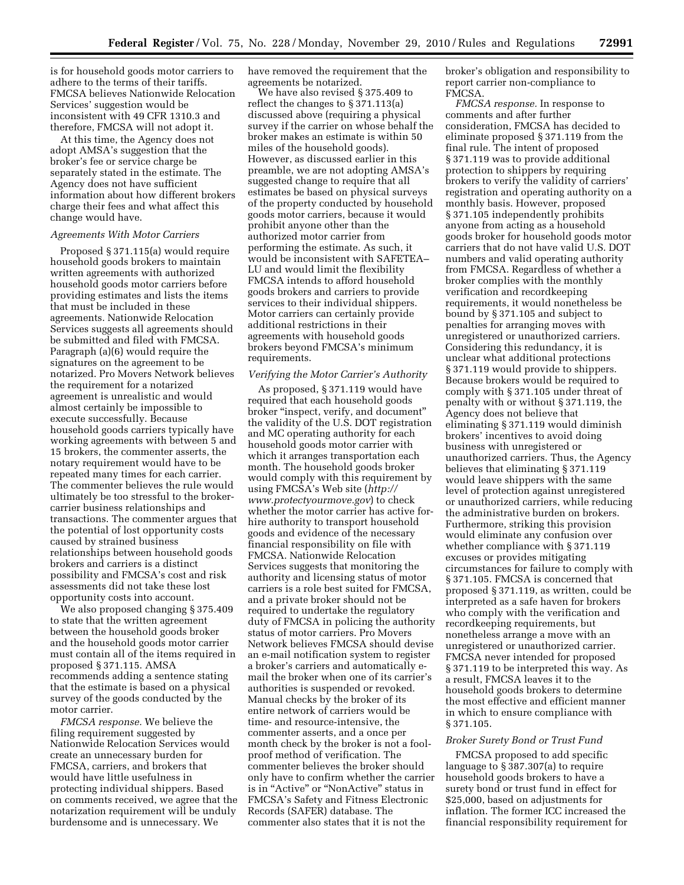is for household goods motor carriers to adhere to the terms of their tariffs. FMCSA believes Nationwide Relocation Services' suggestion would be inconsistent with 49 CFR 1310.3 and therefore, FMCSA will not adopt it.

At this time, the Agency does not adopt AMSA's suggestion that the broker's fee or service charge be separately stated in the estimate. The Agency does not have sufficient information about how different brokers charge their fees and what affect this change would have.

#### *Agreements With Motor Carriers*

Proposed § 371.115(a) would require household goods brokers to maintain written agreements with authorized household goods motor carriers before providing estimates and lists the items that must be included in these agreements. Nationwide Relocation Services suggests all agreements should be submitted and filed with FMCSA. Paragraph (a)(6) would require the signatures on the agreement to be notarized. Pro Movers Network believes the requirement for a notarized agreement is unrealistic and would almost certainly be impossible to execute successfully. Because household goods carriers typically have working agreements with between 5 and 15 brokers, the commenter asserts, the notary requirement would have to be repeated many times for each carrier. The commenter believes the rule would ultimately be too stressful to the brokercarrier business relationships and transactions. The commenter argues that the potential of lost opportunity costs caused by strained business relationships between household goods brokers and carriers is a distinct possibility and FMCSA's cost and risk assessments did not take these lost opportunity costs into account.

We also proposed changing § 375.409 to state that the written agreement between the household goods broker and the household goods motor carrier must contain all of the items required in proposed § 371.115. AMSA recommends adding a sentence stating that the estimate is based on a physical survey of the goods conducted by the motor carrier.

*FMCSA response.* We believe the filing requirement suggested by Nationwide Relocation Services would create an unnecessary burden for FMCSA, carriers, and brokers that would have little usefulness in protecting individual shippers. Based on comments received, we agree that the notarization requirement will be unduly burdensome and is unnecessary. We

have removed the requirement that the agreements be notarized.

We have also revised § 375.409 to reflect the changes to § 371.113(a) discussed above (requiring a physical survey if the carrier on whose behalf the broker makes an estimate is within 50 miles of the household goods). However, as discussed earlier in this preamble, we are not adopting AMSA's suggested change to require that all estimates be based on physical surveys of the property conducted by household goods motor carriers, because it would prohibit anyone other than the authorized motor carrier from performing the estimate. As such, it would be inconsistent with SAFETEA– LU and would limit the flexibility FMCSA intends to afford household goods brokers and carriers to provide services to their individual shippers. Motor carriers can certainly provide additional restrictions in their agreements with household goods brokers beyond FMCSA's minimum requirements.

#### *Verifying the Motor Carrier's Authority*

As proposed, § 371.119 would have required that each household goods broker "inspect, verify, and document" the validity of the U.S. DOT registration and MC operating authority for each household goods motor carrier with which it arranges transportation each month. The household goods broker would comply with this requirement by using FMCSA's Web site (*[http://](http://www.protectyourmove.gov)  [www.protectyourmove.gov](http://www.protectyourmove.gov)*) to check whether the motor carrier has active forhire authority to transport household goods and evidence of the necessary financial responsibility on file with FMCSA. Nationwide Relocation Services suggests that monitoring the authority and licensing status of motor carriers is a role best suited for FMCSA, and a private broker should not be required to undertake the regulatory duty of FMCSA in policing the authority status of motor carriers. Pro Movers Network believes FMCSA should devise an e-mail notification system to register a broker's carriers and automatically email the broker when one of its carrier's authorities is suspended or revoked. Manual checks by the broker of its entire network of carriers would be time- and resource-intensive, the commenter asserts, and a once per month check by the broker is not a foolproof method of verification. The commenter believes the broker should only have to confirm whether the carrier is in "Active" or "NonActive" status in FMCSA's Safety and Fitness Electronic Records (SAFER) database. The commenter also states that it is not the

broker's obligation and responsibility to report carrier non-compliance to FMCSA.

*FMCSA response.* In response to comments and after further consideration, FMCSA has decided to eliminate proposed § 371.119 from the final rule. The intent of proposed § 371.119 was to provide additional protection to shippers by requiring brokers to verify the validity of carriers' registration and operating authority on a monthly basis. However, proposed § 371.105 independently prohibits anyone from acting as a household goods broker for household goods motor carriers that do not have valid U.S. DOT numbers and valid operating authority from FMCSA. Regardless of whether a broker complies with the monthly verification and recordkeeping requirements, it would nonetheless be bound by § 371.105 and subject to penalties for arranging moves with unregistered or unauthorized carriers. Considering this redundancy, it is unclear what additional protections § 371.119 would provide to shippers. Because brokers would be required to comply with § 371.105 under threat of penalty with or without § 371.119, the Agency does not believe that eliminating § 371.119 would diminish brokers' incentives to avoid doing business with unregistered or unauthorized carriers. Thus, the Agency believes that eliminating § 371.119 would leave shippers with the same level of protection against unregistered or unauthorized carriers, while reducing the administrative burden on brokers. Furthermore, striking this provision would eliminate any confusion over whether compliance with § 371.119 excuses or provides mitigating circumstances for failure to comply with § 371.105. FMCSA is concerned that proposed § 371.119, as written, could be interpreted as a safe haven for brokers who comply with the verification and recordkeeping requirements, but nonetheless arrange a move with an unregistered or unauthorized carrier. FMCSA never intended for proposed § 371.119 to be interpreted this way. As a result, FMCSA leaves it to the household goods brokers to determine the most effective and efficient manner in which to ensure compliance with § 371.105.

# *Broker Surety Bond or Trust Fund*

FMCSA proposed to add specific language to § 387.307(a) to require household goods brokers to have a surety bond or trust fund in effect for \$25,000, based on adjustments for inflation. The former ICC increased the financial responsibility requirement for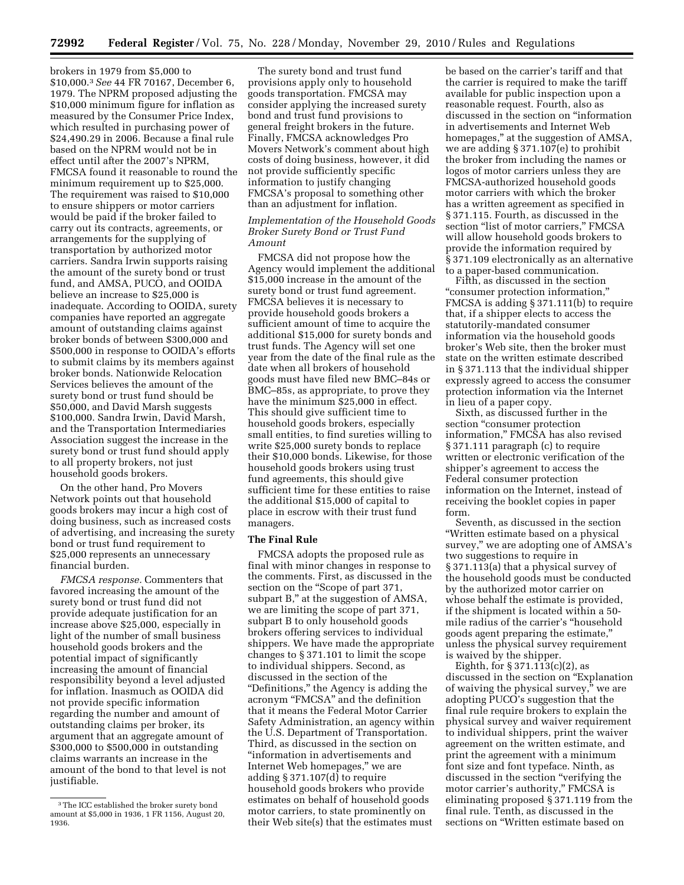brokers in 1979 from \$5,000 to \$10,000.3*See* 44 FR 70167, December 6, 1979. The NPRM proposed adjusting the \$10,000 minimum figure for inflation as measured by the Consumer Price Index, which resulted in purchasing power of \$24,490.29 in 2006. Because a final rule based on the NPRM would not be in effect until after the 2007's NPRM, FMCSA found it reasonable to round the minimum requirement up to \$25,000. The requirement was raised to \$10,000 to ensure shippers or motor carriers would be paid if the broker failed to carry out its contracts, agreements, or arrangements for the supplying of transportation by authorized motor carriers. Sandra Irwin supports raising the amount of the surety bond or trust fund, and AMSA, PUCO, and OOIDA believe an increase to \$25,000 is inadequate. According to OOIDA, surety companies have reported an aggregate amount of outstanding claims against broker bonds of between \$300,000 and \$500,000 in response to OOIDA's efforts to submit claims by its members against broker bonds. Nationwide Relocation Services believes the amount of the surety bond or trust fund should be \$50,000, and David Marsh suggests \$100,000. Sandra Irwin, David Marsh, and the Transportation Intermediaries Association suggest the increase in the surety bond or trust fund should apply to all property brokers, not just household goods brokers.

On the other hand, Pro Movers Network points out that household goods brokers may incur a high cost of doing business, such as increased costs of advertising, and increasing the surety bond or trust fund requirement to \$25,000 represents an unnecessary financial burden.

*FMCSA response.* Commenters that favored increasing the amount of the surety bond or trust fund did not provide adequate justification for an increase above \$25,000, especially in light of the number of small business household goods brokers and the potential impact of significantly increasing the amount of financial responsibility beyond a level adjusted for inflation. Inasmuch as OOIDA did not provide specific information regarding the number and amount of outstanding claims per broker, its argument that an aggregate amount of \$300,000 to \$500,000 in outstanding claims warrants an increase in the amount of the bond to that level is not justifiable.

The surety bond and trust fund provisions apply only to household goods transportation. FMCSA may consider applying the increased surety bond and trust fund provisions to general freight brokers in the future. Finally, FMCSA acknowledges Pro Movers Network's comment about high costs of doing business, however, it did not provide sufficiently specific information to justify changing FMCSA's proposal to something other than an adjustment for inflation.

*Implementation of the Household Goods Broker Surety Bond or Trust Fund Amount* 

FMCSA did not propose how the Agency would implement the additional \$15,000 increase in the amount of the surety bond or trust fund agreement. FMCSA believes it is necessary to provide household goods brokers a sufficient amount of time to acquire the additional \$15,000 for surety bonds and trust funds. The Agency will set one year from the date of the final rule as the date when all brokers of household goods must have filed new BMC–84s or BMC–85s, as appropriate, to prove they have the minimum \$25,000 in effect. This should give sufficient time to household goods brokers, especially small entities, to find sureties willing to write \$25,000 surety bonds to replace their \$10,000 bonds. Likewise, for those household goods brokers using trust fund agreements, this should give sufficient time for these entities to raise the additional \$15,000 of capital to place in escrow with their trust fund managers.

### **The Final Rule**

FMCSA adopts the proposed rule as final with minor changes in response to the comments. First, as discussed in the section on the "Scope of part 371, subpart B," at the suggestion of AMSA, we are limiting the scope of part 371, subpart B to only household goods brokers offering services to individual shippers. We have made the appropriate changes to § 371.101 to limit the scope to individual shippers. Second, as discussed in the section of the ''Definitions,'' the Agency is adding the acronym ''FMCSA'' and the definition that it means the Federal Motor Carrier Safety Administration, an agency within the U.S. Department of Transportation. Third, as discussed in the section on ''information in advertisements and Internet Web homepages,'' we are adding § 371.107(d) to require household goods brokers who provide estimates on behalf of household goods motor carriers, to state prominently on their Web site(s) that the estimates must

be based on the carrier's tariff and that the carrier is required to make the tariff available for public inspection upon a reasonable request. Fourth, also as discussed in the section on ''information in advertisements and Internet Web homepages," at the suggestion of AMSA, we are adding § 371.107(e) to prohibit the broker from including the names or logos of motor carriers unless they are FMCSA-authorized household goods motor carriers with which the broker has a written agreement as specified in § 371.115. Fourth, as discussed in the section "list of motor carriers," FMCSA will allow household goods brokers to provide the information required by § 371.109 electronically as an alternative to a paper-based communication.

Fifth, as discussed in the section ''consumer protection information,'' FMCSA is adding § 371.111(b) to require that, if a shipper elects to access the statutorily-mandated consumer information via the household goods broker's Web site, then the broker must state on the written estimate described in § 371.113 that the individual shipper expressly agreed to access the consumer protection information via the Internet in lieu of a paper copy.

Sixth, as discussed further in the section "consumer protection information,'' FMCSA has also revised § 371.111 paragraph (c) to require written or electronic verification of the shipper's agreement to access the Federal consumer protection information on the Internet, instead of receiving the booklet copies in paper form.

Seventh, as discussed in the section ''Written estimate based on a physical survey," we are adopting one of AMSA's two suggestions to require in § 371.113(a) that a physical survey of the household goods must be conducted by the authorized motor carrier on whose behalf the estimate is provided, if the shipment is located within a 50 mile radius of the carrier's ''household goods agent preparing the estimate,'' unless the physical survey requirement is waived by the shipper.

Eighth, for  $\S 371.113(c)(2)$ , as discussed in the section on "Explanation of waiving the physical survey, $\bar{y}$  we are adopting PUCO's suggestion that the final rule require brokers to explain the physical survey and waiver requirement to individual shippers, print the waiver agreement on the written estimate, and print the agreement with a minimum font size and font typeface. Ninth, as discussed in the section ''verifying the motor carrier's authority,'' FMCSA is eliminating proposed § 371.119 from the final rule. Tenth, as discussed in the sections on ''Written estimate based on

<sup>&</sup>lt;sup>3</sup>The ICC established the broker surety bond amount at \$5,000 in 1936, 1 FR 1156, August 20, 1936.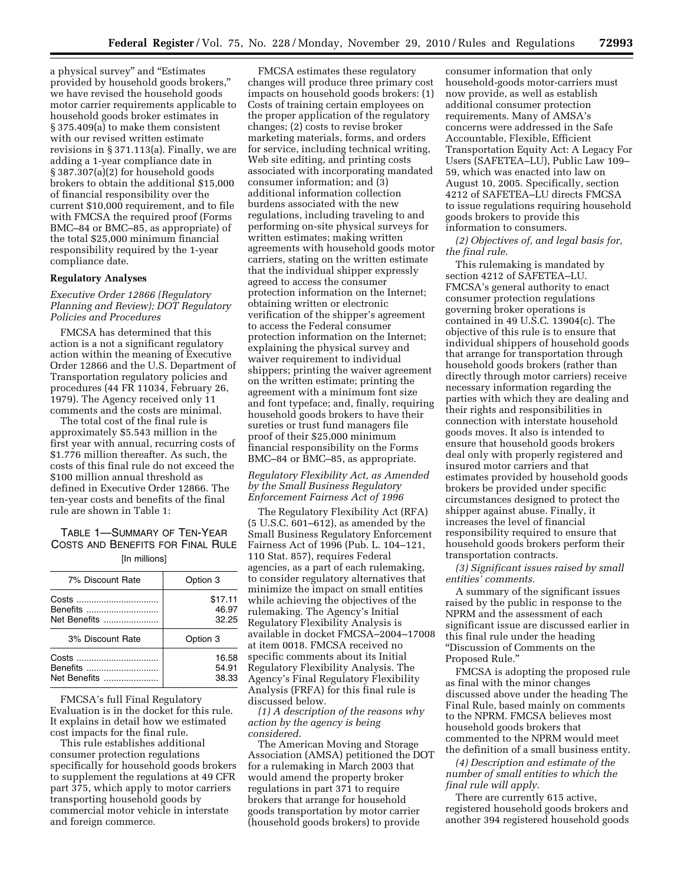a physical survey'' and ''Estimates provided by household goods brokers,'' we have revised the household goods motor carrier requirements applicable to household goods broker estimates in § 375.409(a) to make them consistent with our revised written estimate revisions in § 371.113(a). Finally, we are adding a 1-year compliance date in § 387.307(a)(2) for household goods brokers to obtain the additional \$15,000 of financial responsibility over the current \$10,000 requirement, and to file with FMCSA the required proof (Forms BMC–84 or BMC–85, as appropriate) of the total \$25,000 minimum financial responsibility required by the 1-year compliance date.

#### **Regulatory Analyses**

*Executive Order 12866 (Regulatory Planning and Review); DOT Regulatory Policies and Procedures* 

FMCSA has determined that this action is a not a significant regulatory action within the meaning of Executive Order 12866 and the U.S. Department of Transportation regulatory policies and procedures (44 FR 11034, February 26, 1979). The Agency received only 11 comments and the costs are minimal.

The total cost of the final rule is approximately \$5.543 million in the first year with annual, recurring costs of \$1.776 million thereafter. As such, the costs of this final rule do not exceed the \$100 million annual threshold as defined in Executive Order 12866. The ten-year costs and benefits of the final rule are shown in Table 1:

TABLE 1—SUMMARY OF TEN-YEAR COSTS AND BENEFITS FOR FINAL RULE [In millions]

| 7% Discount Rate                  | Option 3                  |
|-----------------------------------|---------------------------|
| Benefits<br>Net Benefits          | \$17.11<br>46.97<br>32.25 |
| 3% Discount Rate                  | Option 3                  |
| Costs<br>Benefits<br>Net Benefits | 16.58<br>54.91<br>38.33   |

FMCSA's full Final Regulatory Evaluation is in the docket for this rule. It explains in detail how we estimated cost impacts for the final rule.

This rule establishes additional consumer protection regulations specifically for household goods brokers to supplement the regulations at 49 CFR part 375, which apply to motor carriers transporting household goods by commercial motor vehicle in interstate and foreign commerce.

FMCSA estimates these regulatory changes will produce three primary cost impacts on household goods brokers: (1) Costs of training certain employees on the proper application of the regulatory changes; (2) costs to revise broker marketing materials, forms, and orders for service, including technical writing, Web site editing, and printing costs associated with incorporating mandated consumer information; and (3) additional information collection burdens associated with the new regulations, including traveling to and performing on-site physical surveys for written estimates; making written agreements with household goods motor carriers, stating on the written estimate that the individual shipper expressly agreed to access the consumer protection information on the Internet; obtaining written or electronic verification of the shipper's agreement to access the Federal consumer protection information on the Internet; explaining the physical survey and waiver requirement to individual shippers; printing the waiver agreement on the written estimate; printing the agreement with a minimum font size and font typeface; and, finally, requiring household goods brokers to have their sureties or trust fund managers file proof of their \$25,000 minimum financial responsibility on the Forms BMC–84 or BMC–85, as appropriate.

### *Regulatory Flexibility Act, as Amended by the Small Business Regulatory Enforcement Fairness Act of 1996*

The Regulatory Flexibility Act (RFA) (5 U.S.C. 601–612), as amended by the Small Business Regulatory Enforcement Fairness Act of 1996 (Pub. L. 104–121, 110 Stat. 857), requires Federal agencies, as a part of each rulemaking, to consider regulatory alternatives that minimize the impact on small entities while achieving the objectives of the rulemaking. The Agency's Initial Regulatory Flexibility Analysis is available in docket FMCSA–2004–17008 at item 0018. FMCSA received no specific comments about its Initial Regulatory Flexibility Analysis. The Agency's Final Regulatory Flexibility Analysis (FRFA) for this final rule is discussed below.

*(1) A description of the reasons why action by the agency is being considered.* 

The American Moving and Storage Association (AMSA) petitioned the DOT for a rulemaking in March 2003 that would amend the property broker regulations in part 371 to require brokers that arrange for household goods transportation by motor carrier (household goods brokers) to provide

consumer information that only household-goods motor-carriers must now provide, as well as establish additional consumer protection requirements. Many of AMSA's concerns were addressed in the Safe Accountable, Flexible, Efficient Transportation Equity Act: A Legacy For Users (SAFETEA–LU), Public Law 109– 59, which was enacted into law on August 10, 2005. Specifically, section 4212 of SAFETEA–LU directs FMCSA to issue regulations requiring household goods brokers to provide this information to consumers.

*(2) Objectives of, and legal basis for, the final rule*.

This rulemaking is mandated by section 4212 of SAFETEA–LU. FMCSA's general authority to enact consumer protection regulations governing broker operations is contained in 49 U.S.C. 13904(c). The objective of this rule is to ensure that individual shippers of household goods that arrange for transportation through household goods brokers (rather than directly through motor carriers) receive necessary information regarding the parties with which they are dealing and their rights and responsibilities in connection with interstate household goods moves. It also is intended to ensure that household goods brokers deal only with properly registered and insured motor carriers and that estimates provided by household goods brokers be provided under specific circumstances designed to protect the shipper against abuse. Finally, it increases the level of financial responsibility required to ensure that household goods brokers perform their transportation contracts.

*(3) Significant issues raised by small entities' comments.* 

A summary of the significant issues raised by the public in response to the NPRM and the assessment of each significant issue are discussed earlier in this final rule under the heading ''Discussion of Comments on the Proposed Rule.''

FMCSA is adopting the proposed rule as final with the minor changes discussed above under the heading The Final Rule, based mainly on comments to the NPRM. FMCSA believes most household goods brokers that commented to the NPRM would meet the definition of a small business entity.

*(4) Description and estimate of the number of small entities to which the final rule will apply.* 

There are currently 615 active, registered household goods brokers and another 394 registered household goods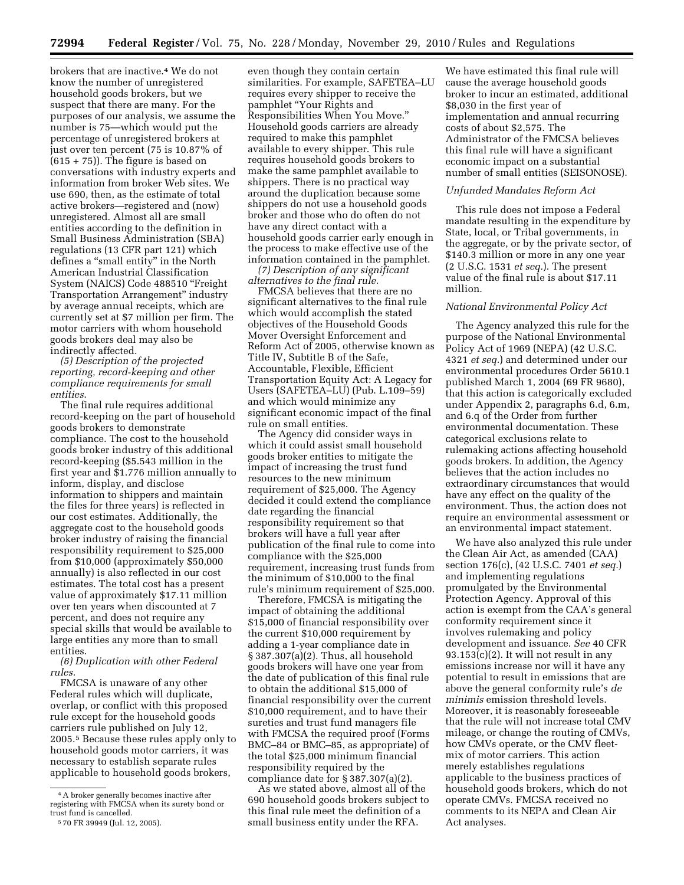brokers that are inactive.4 We do not know the number of unregistered household goods brokers, but we suspect that there are many. For the purposes of our analysis, we assume the number is 75—which would put the percentage of unregistered brokers at just over ten percent (75 is 10.87% of  $(615 + 75)$ . The figure is based on conversations with industry experts and information from broker Web sites. We use 690, then, as the estimate of total active brokers—registered and (now) unregistered. Almost all are small entities according to the definition in Small Business Administration (SBA) regulations (13 CFR part 121) which defines a ''small entity'' in the North American Industrial Classification System (NAICS) Code 488510 ''Freight Transportation Arrangement'' industry by average annual receipts, which are currently set at \$7 million per firm. The motor carriers with whom household goods brokers deal may also be indirectly affected.

*(5) Description of the projected reporting, record-keeping and other compliance requirements for small entities*.

The final rule requires additional record-keeping on the part of household goods brokers to demonstrate compliance. The cost to the household goods broker industry of this additional record-keeping (\$5.543 million in the first year and \$1.776 million annually to inform, display, and disclose information to shippers and maintain the files for three years) is reflected in our cost estimates. Additionally, the aggregate cost to the household goods broker industry of raising the financial responsibility requirement to \$25,000 from \$10,000 (approximately \$50,000 annually) is also reflected in our cost estimates. The total cost has a present value of approximately \$17.11 million over ten years when discounted at 7 percent, and does not require any special skills that would be available to large entities any more than to small entities.

*(6) Duplication with other Federal rules.* 

FMCSA is unaware of any other Federal rules which will duplicate, overlap, or conflict with this proposed rule except for the household goods carriers rule published on July 12, 2005.5 Because these rules apply only to household goods motor carriers, it was necessary to establish separate rules applicable to household goods brokers,

even though they contain certain similarities. For example, SAFETEA–LU requires every shipper to receive the pamphlet ''Your Rights and Responsibilities When You Move.'' Household goods carriers are already required to make this pamphlet available to every shipper. This rule requires household goods brokers to make the same pamphlet available to shippers. There is no practical way around the duplication because some shippers do not use a household goods broker and those who do often do not have any direct contact with a household goods carrier early enough in the process to make effective use of the information contained in the pamphlet.

*(7) Description of any significant alternatives to the final rule.* 

FMCSA believes that there are no significant alternatives to the final rule which would accomplish the stated objectives of the Household Goods Mover Oversight Enforcement and Reform Act of 2005, otherwise known as Title IV, Subtitle B of the Safe, Accountable, Flexible, Efficient Transportation Equity Act: A Legacy for Users (SAFETEA–LU) (Pub. L.109–59) and which would minimize any significant economic impact of the final rule on small entities.

The Agency did consider ways in which it could assist small household goods broker entities to mitigate the impact of increasing the trust fund resources to the new minimum requirement of \$25,000. The Agency decided it could extend the compliance date regarding the financial responsibility requirement so that brokers will have a full year after publication of the final rule to come into compliance with the \$25,000 requirement, increasing trust funds from the minimum of \$10,000 to the final rule's minimum requirement of \$25,000.

Therefore, FMCSA is mitigating the impact of obtaining the additional \$15,000 of financial responsibility over the current \$10,000 requirement by adding a 1-year compliance date in § 387.307(a)(2). Thus, all household goods brokers will have one year from the date of publication of this final rule to obtain the additional \$15,000 of financial responsibility over the current \$10,000 requirement, and to have their sureties and trust fund managers file with FMCSA the required proof (Forms BMC–84 or BMC–85, as appropriate) of the total \$25,000 minimum financial responsibility required by the compliance date for § 387.307(a)(2).

As we stated above, almost all of the 690 household goods brokers subject to this final rule meet the definition of a small business entity under the RFA.

We have estimated this final rule will cause the average household goods broker to incur an estimated, additional \$8,030 in the first year of implementation and annual recurring costs of about \$2,575. The Administrator of the FMCSA believes this final rule will have a significant economic impact on a substantial number of small entities (SEISONOSE).

### *Unfunded Mandates Reform Act*

This rule does not impose a Federal mandate resulting in the expenditure by State, local, or Tribal governments, in the aggregate, or by the private sector, of \$140.3 million or more in any one year (2 U.S.C. 1531 *et seq.*). The present value of the final rule is about \$17.11 million.

#### *National Environmental Policy Act*

The Agency analyzed this rule for the purpose of the National Environmental Policy Act of 1969 (NEPA) (42 U.S.C. 4321 *et seq.*) and determined under our environmental procedures Order 5610.1 published March 1, 2004 (69 FR 9680), that this action is categorically excluded under Appendix 2, paragraphs 6.d, 6.m, and 6.q of the Order from further environmental documentation. These categorical exclusions relate to rulemaking actions affecting household goods brokers. In addition, the Agency believes that the action includes no extraordinary circumstances that would have any effect on the quality of the environment. Thus, the action does not require an environmental assessment or an environmental impact statement.

We have also analyzed this rule under the Clean Air Act, as amended (CAA) section 176(c), (42 U.S.C. 7401 *et seq.*) and implementing regulations promulgated by the Environmental Protection Agency. Approval of this action is exempt from the CAA's general conformity requirement since it involves rulemaking and policy development and issuance. *See* 40 CFR  $93.153(c)(2)$ . It will not result in any emissions increase nor will it have any potential to result in emissions that are above the general conformity rule's *de minimis* emission threshold levels. Moreover, it is reasonably foreseeable that the rule will not increase total CMV mileage, or change the routing of CMVs, how CMVs operate, or the CMV fleetmix of motor carriers. This action merely establishes regulations applicable to the business practices of household goods brokers, which do not operate CMVs. FMCSA received no comments to its NEPA and Clean Air Act analyses.

<sup>4</sup>A broker generally becomes inactive after registering with FMCSA when its surety bond or trust fund is cancelled.

<sup>5</sup> 70 FR 39949 (Jul. 12, 2005).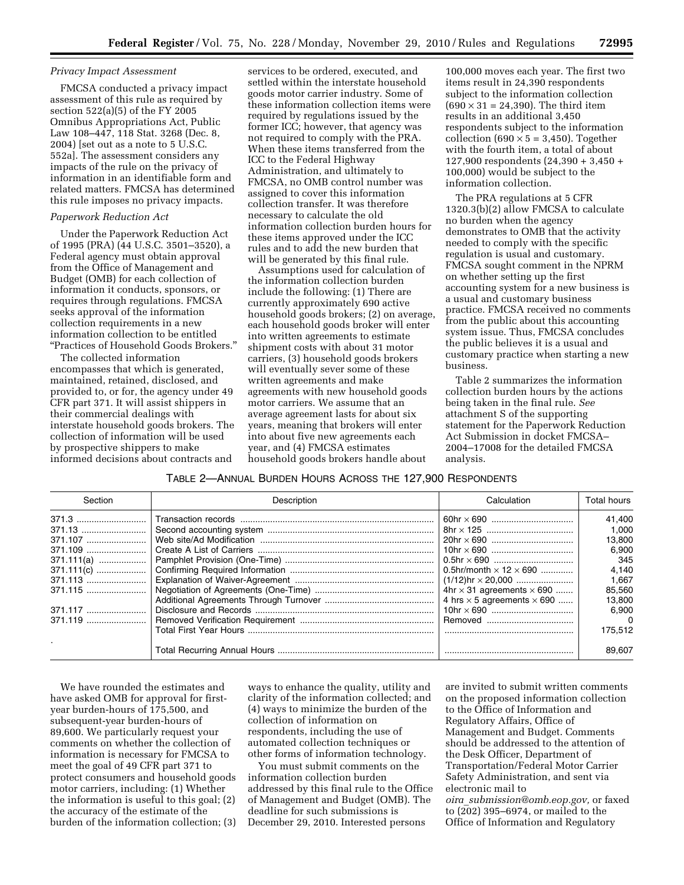#### *Privacy Impact Assessment*

FMCSA conducted a privacy impact assessment of this rule as required by section 522(a)(5) of the FY 2005 Omnibus Appropriations Act, Public Law 108–447, 118 Stat. 3268 (Dec. 8, 2004) [set out as a note to 5 U.S.C. 552a]. The assessment considers any impacts of the rule on the privacy of information in an identifiable form and related matters. FMCSA has determined this rule imposes no privacy impacts.

#### *Paperwork Reduction Act*

Under the Paperwork Reduction Act of 1995 (PRA) (44 U.S.C. 3501–3520), a Federal agency must obtain approval from the Office of Management and Budget (OMB) for each collection of information it conducts, sponsors, or requires through regulations. FMCSA seeks approval of the information collection requirements in a new information collection to be entitled ''Practices of Household Goods Brokers.''

The collected information encompasses that which is generated, maintained, retained, disclosed, and provided to, or for, the agency under 49 CFR part 371. It will assist shippers in their commercial dealings with interstate household goods brokers. The collection of information will be used by prospective shippers to make informed decisions about contracts and

services to be ordered, executed, and settled within the interstate household goods motor carrier industry. Some of these information collection items were required by regulations issued by the former ICC; however, that agency was not required to comply with the PRA. When these items transferred from the ICC to the Federal Highway Administration, and ultimately to FMCSA, no OMB control number was assigned to cover this information collection transfer. It was therefore necessary to calculate the old information collection burden hours for these items approved under the ICC rules and to add the new burden that will be generated by this final rule.

Assumptions used for calculation of the information collection burden include the following: (1) There are currently approximately 690 active household goods brokers; (2) on average, each household goods broker will enter into written agreements to estimate shipment costs with about 31 motor carriers, (3) household goods brokers will eventually sever some of these written agreements and make agreements with new household goods motor carriers. We assume that an average agreement lasts for about six years, meaning that brokers will enter into about five new agreements each year, and (4) FMCSA estimates household goods brokers handle about

100,000 moves each year. The first two items result in 24,390 respondents subject to the information collection  $(690 \times 31 = 24,390)$ . The third item results in an additional 3,450 respondents subject to the information collection  $(690 \times 5 = 3,450)$ . Together with the fourth item, a total of about 127,900 respondents (24,390 + 3,450 + 100,000) would be subject to the information collection.

The PRA regulations at 5 CFR 1320.3(b)(2) allow FMCSA to calculate no burden when the agency demonstrates to OMB that the activity needed to comply with the specific regulation is usual and customary. FMCSA sought comment in the NPRM on whether setting up the first accounting system for a new business is a usual and customary business practice. FMCSA received no comments from the public about this accounting system issue. Thus, FMCSA concludes the public believes it is a usual and customary practice when starting a new business.

Table 2 summarizes the information collection burden hours by the actions being taken in the final rule. *See*  attachment S of the supporting statement for the Paperwork Reduction Act Submission in docket FMCSA– 2004–17008 for the detailed FMCSA analysis.

# TABLE 2—ANNUAL BURDEN HOURS ACROSS THE 127,900 RESPONDENTS

| Section      | Description | Calculation                              | Total hours |
|--------------|-------------|------------------------------------------|-------------|
|              |             |                                          | 41,400      |
| 371.13       |             |                                          | 1.000       |
|              |             |                                          | 13.800      |
| 371.109      |             |                                          | 6.900       |
| $371.111(a)$ |             |                                          | 345         |
| 371.111(c)   |             | 0.5hr/month $\times$ 12 $\times$ 690     | 4.140       |
| 371.113      |             | $(1/12)$ hr $\times$ 20,000              | 1.667       |
| 371.115      |             | 4hr $\times$ 31 agreements $\times$ 690  | 85,560      |
|              |             | 4 hrs $\times$ 5 agreements $\times$ 690 | 13.800      |
| 371.117      |             |                                          | 6.900       |
|              |             |                                          | $\Omega$    |
|              |             |                                          | 175.512     |
|              |             |                                          | 89.607      |

We have rounded the estimates and have asked OMB for approval for firstyear burden-hours of 175,500, and subsequent-year burden-hours of 89,600. We particularly request your comments on whether the collection of information is necessary for FMCSA to meet the goal of 49 CFR part 371 to protect consumers and household goods motor carriers, including: (1) Whether the information is useful to this goal; (2) the accuracy of the estimate of the burden of the information collection; (3)

ways to enhance the quality, utility and clarity of the information collected; and (4) ways to minimize the burden of the collection of information on respondents, including the use of automated collection techniques or other forms of information technology.

You must submit comments on the information collection burden addressed by this final rule to the Office of Management and Budget (OMB). The deadline for such submissions is December 29, 2010. Interested persons

are invited to submit written comments on the proposed information collection to the Office of Information and Regulatory Affairs, Office of Management and Budget. Comments should be addressed to the attention of the Desk Officer, Department of Transportation/Federal Motor Carrier Safety Administration, and sent via electronic mail to *oira*\_*[submission@omb.eop.gov,](mailto:oira_submission@omb.eop.gov)* or faxed to (202) 395–6974, or mailed to the Office of Information and Regulatory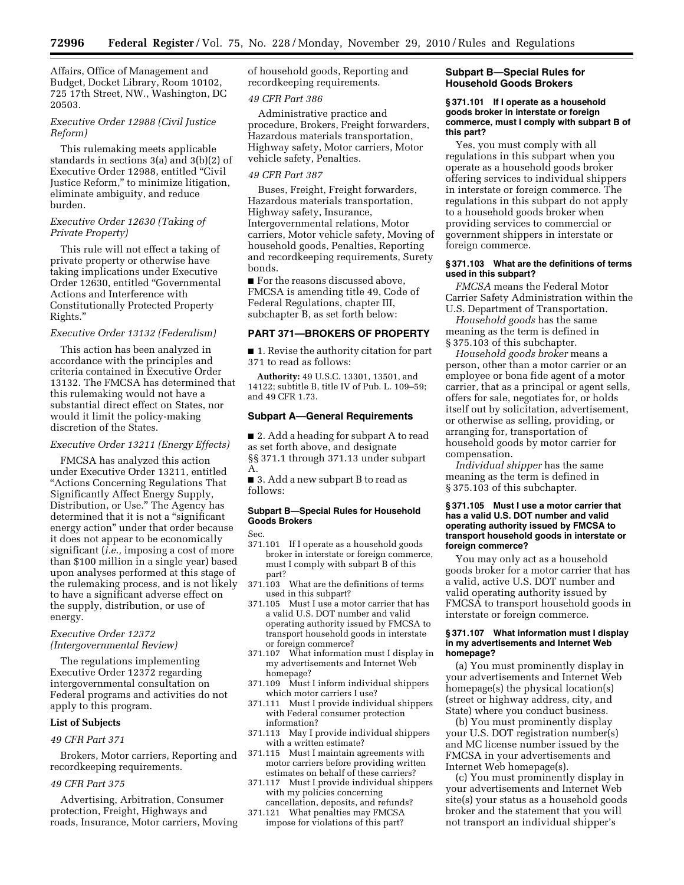Affairs, Office of Management and Budget, Docket Library, Room 10102, 725 17th Street, NW., Washington, DC 20503.

# *Executive Order 12988 (Civil Justice Reform)*

This rulemaking meets applicable standards in sections 3(a) and 3(b)(2) of Executive Order 12988, entitled ''Civil Justice Reform," to minimize litigation, eliminate ambiguity, and reduce burden.

### *Executive Order 12630 (Taking of Private Property)*

This rule will not effect a taking of private property or otherwise have taking implications under Executive Order 12630, entitled ''Governmental Actions and Interference with Constitutionally Protected Property Rights.''

#### *Executive Order 13132 (Federalism)*

This action has been analyzed in accordance with the principles and criteria contained in Executive Order 13132. The FMCSA has determined that this rulemaking would not have a substantial direct effect on States, nor would it limit the policy-making discretion of the States.

#### *Executive Order 13211 (Energy Effects)*

FMCSA has analyzed this action under Executive Order 13211, entitled ''Actions Concerning Regulations That Significantly Affect Energy Supply, Distribution, or Use.'' The Agency has determined that it is not a "significant energy action'' under that order because it does not appear to be economically significant (*i.e.,* imposing a cost of more than \$100 million in a single year) based upon analyses performed at this stage of the rulemaking process, and is not likely to have a significant adverse effect on the supply, distribution, or use of energy.

# *Executive Order 12372 (Intergovernmental Review)*

The regulations implementing Executive Order 12372 regarding intergovernmental consultation on Federal programs and activities do not apply to this program.

### **List of Subjects**

## *49 CFR Part 371*

Brokers, Motor carriers, Reporting and recordkeeping requirements.

#### *49 CFR Part 375*

Advertising, Arbitration, Consumer protection, Freight, Highways and roads, Insurance, Motor carriers, Moving of household goods, Reporting and recordkeeping requirements.

### *49 CFR Part 386*

Administrative practice and procedure, Brokers, Freight forwarders, Hazardous materials transportation, Highway safety, Motor carriers, Motor vehicle safety, Penalties.

#### *49 CFR Part 387*

Buses, Freight, Freight forwarders, Hazardous materials transportation, Highway safety, Insurance, Intergovernmental relations, Motor carriers, Motor vehicle safety, Moving of household goods, Penalties, Reporting and recordkeeping requirements, Surety bonds.

■ For the reasons discussed above, FMCSA is amending title 49, Code of Federal Regulations, chapter III, subchapter B, as set forth below:

# **PART 371—BROKERS OF PROPERTY**

■ 1. Revise the authority citation for part 371 to read as follows:

**Authority:** 49 U.S.C. 13301, 13501, and 14122; subtitle B, title IV of Pub. L. 109–59; and 49 CFR 1.73.

# **Subpart A—General Requirements**

■ 2. Add a heading for subpart A to read as set forth above, and designate §§ 371.1 through 371.13 under subpart A.

■ 3. Add a new subpart B to read as follows:

### **Subpart B—Special Rules for Household Goods Brokers**

Sec.

- 371.101 If I operate as a household goods broker in interstate or foreign commerce, must I comply with subpart B of this part?
- 371.103 What are the definitions of terms used in this subpart?
- 371.105 Must I use a motor carrier that has a valid U.S. DOT number and valid operating authority issued by FMCSA to transport household goods in interstate or foreign commerce?
- 371.107 What information must I display in my advertisements and Internet Web homepage?
- 371.109 Must I inform individual shippers which motor carriers I use?
- 371.111 Must I provide individual shippers with Federal consumer protection information?
- 371.113 May I provide individual shippers with a written estimate?
- 371.115 Must I maintain agreements with motor carriers before providing written estimates on behalf of these carriers?
- 371.117 Must I provide individual shippers with my policies concerning cancellation, deposits, and refunds?
- 371.121 What penalties may FMCSA impose for violations of this part?

### **Subpart B—Special Rules for Household Goods Brokers**

#### **§ 371.101 If I operate as a household goods broker in interstate or foreign commerce, must I comply with subpart B of this part?**

Yes, you must comply with all regulations in this subpart when you operate as a household goods broker offering services to individual shippers in interstate or foreign commerce. The regulations in this subpart do not apply to a household goods broker when providing services to commercial or government shippers in interstate or foreign commerce.

# **§ 371.103 What are the definitions of terms used in this subpart?**

*FMCSA* means the Federal Motor Carrier Safety Administration within the U.S. Department of Transportation.

*Household goods* has the same meaning as the term is defined in § 375.103 of this subchapter.

*Household goods broker* means a person, other than a motor carrier or an employee or bona fide agent of a motor carrier, that as a principal or agent sells, offers for sale, negotiates for, or holds itself out by solicitation, advertisement, or otherwise as selling, providing, or arranging for, transportation of household goods by motor carrier for compensation.

*Individual shipper* has the same meaning as the term is defined in § 375.103 of this subchapter.

#### **§ 371.105 Must I use a motor carrier that has a valid U.S. DOT number and valid operating authority issued by FMCSA to transport household goods in interstate or foreign commerce?**

You may only act as a household goods broker for a motor carrier that has a valid, active U.S. DOT number and valid operating authority issued by FMCSA to transport household goods in interstate or foreign commerce.

#### **§ 371.107 What information must I display in my advertisements and Internet Web homepage?**

(a) You must prominently display in your advertisements and Internet Web homepage(s) the physical location(s) (street or highway address, city, and State) where you conduct business.

(b) You must prominently display your U.S. DOT registration number(s) and MC license number issued by the FMCSA in your advertisements and Internet Web homepage(s).

(c) You must prominently display in your advertisements and Internet Web site(s) your status as a household goods broker and the statement that you will not transport an individual shipper's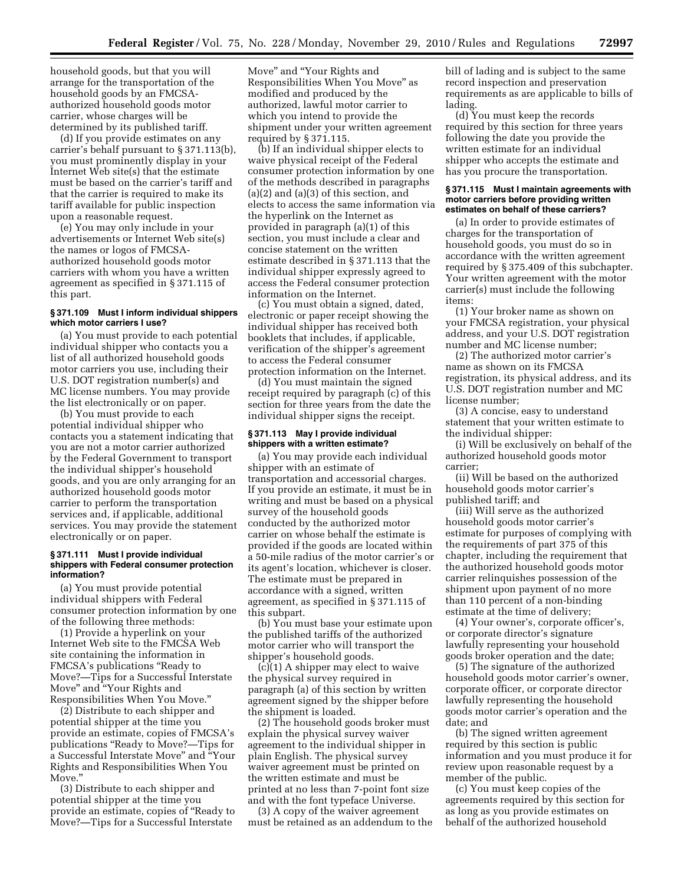household goods, but that you will arrange for the transportation of the household goods by an FMCSAauthorized household goods motor carrier, whose charges will be determined by its published tariff.

(d) If you provide estimates on any carrier's behalf pursuant to § 371.113(b), you must prominently display in your Internet Web site(s) that the estimate must be based on the carrier's tariff and that the carrier is required to make its tariff available for public inspection upon a reasonable request.

(e) You may only include in your advertisements or Internet Web site(s) the names or logos of FMCSAauthorized household goods motor carriers with whom you have a written agreement as specified in § 371.115 of this part.

#### **§ 371.109 Must I inform individual shippers which motor carriers I use?**

(a) You must provide to each potential individual shipper who contacts you a list of all authorized household goods motor carriers you use, including their U.S. DOT registration number(s) and MC license numbers. You may provide the list electronically or on paper.

(b) You must provide to each potential individual shipper who contacts you a statement indicating that you are not a motor carrier authorized by the Federal Government to transport the individual shipper's household goods, and you are only arranging for an authorized household goods motor carrier to perform the transportation services and, if applicable, additional services. You may provide the statement electronically or on paper.

#### **§ 371.111 Must I provide individual shippers with Federal consumer protection information?**

(a) You must provide potential individual shippers with Federal consumer protection information by one of the following three methods:

(1) Provide a hyperlink on your Internet Web site to the FMCSA Web site containing the information in FMCSA's publications ''Ready to Move?—Tips for a Successful Interstate Move'' and ''Your Rights and Responsibilities When You Move.''

(2) Distribute to each shipper and potential shipper at the time you provide an estimate, copies of FMCSA's publications ''Ready to Move?—Tips for a Successful Interstate Move'' and ''Your Rights and Responsibilities When You Move.''

(3) Distribute to each shipper and potential shipper at the time you provide an estimate, copies of ''Ready to Move?—Tips for a Successful Interstate

Move'' and ''Your Rights and Responsibilities When You Move'' as modified and produced by the authorized, lawful motor carrier to which you intend to provide the shipment under your written agreement required by § 371.115.

(b) If an individual shipper elects to waive physical receipt of the Federal consumer protection information by one of the methods described in paragraphs (a)(2) and (a)(3) of this section, and elects to access the same information via the hyperlink on the Internet as provided in paragraph (a)(1) of this section, you must include a clear and concise statement on the written estimate described in § 371.113 that the individual shipper expressly agreed to access the Federal consumer protection information on the Internet.

(c) You must obtain a signed, dated, electronic or paper receipt showing the individual shipper has received both booklets that includes, if applicable, verification of the shipper's agreement to access the Federal consumer protection information on the Internet.

(d) You must maintain the signed receipt required by paragraph (c) of this section for three years from the date the individual shipper signs the receipt.

### **§ 371.113 May I provide individual shippers with a written estimate?**

(a) You may provide each individual shipper with an estimate of transportation and accessorial charges. If you provide an estimate, it must be in writing and must be based on a physical survey of the household goods conducted by the authorized motor carrier on whose behalf the estimate is provided if the goods are located within a 50-mile radius of the motor carrier's or its agent's location, whichever is closer. The estimate must be prepared in accordance with a signed, written agreement, as specified in § 371.115 of this subpart.

(b) You must base your estimate upon the published tariffs of the authorized motor carrier who will transport the shipper's household goods.

(c)(1) A shipper may elect to waive the physical survey required in paragraph (a) of this section by written agreement signed by the shipper before the shipment is loaded.

(2) The household goods broker must explain the physical survey waiver agreement to the individual shipper in plain English. The physical survey waiver agreement must be printed on the written estimate and must be printed at no less than 7-point font size and with the font typeface Universe.

(3) A copy of the waiver agreement must be retained as an addendum to the bill of lading and is subject to the same record inspection and preservation requirements as are applicable to bills of lading.

(d) You must keep the records required by this section for three years following the date you provide the written estimate for an individual shipper who accepts the estimate and has you procure the transportation.

#### **§ 371.115 Must I maintain agreements with motor carriers before providing written estimates on behalf of these carriers?**

(a) In order to provide estimates of charges for the transportation of household goods, you must do so in accordance with the written agreement required by § 375.409 of this subchapter. Your written agreement with the motor carrier(s) must include the following items:

(1) Your broker name as shown on your FMCSA registration, your physical address, and your U.S. DOT registration number and MC license number;

(2) The authorized motor carrier's name as shown on its FMCSA registration, its physical address, and its U.S. DOT registration number and MC license number;

(3) A concise, easy to understand statement that your written estimate to the individual shipper:

(i) Will be exclusively on behalf of the authorized household goods motor carrier;

(ii) Will be based on the authorized household goods motor carrier's published tariff; and

(iii) Will serve as the authorized household goods motor carrier's estimate for purposes of complying with the requirements of part 375 of this chapter, including the requirement that the authorized household goods motor carrier relinquishes possession of the shipment upon payment of no more than 110 percent of a non-binding estimate at the time of delivery;

(4) Your owner's, corporate officer's, or corporate director's signature lawfully representing your household goods broker operation and the date;

(5) The signature of the authorized household goods motor carrier's owner, corporate officer, or corporate director lawfully representing the household goods motor carrier's operation and the date; and

(b) The signed written agreement required by this section is public information and you must produce it for review upon reasonable request by a member of the public.

(c) You must keep copies of the agreements required by this section for as long as you provide estimates on behalf of the authorized household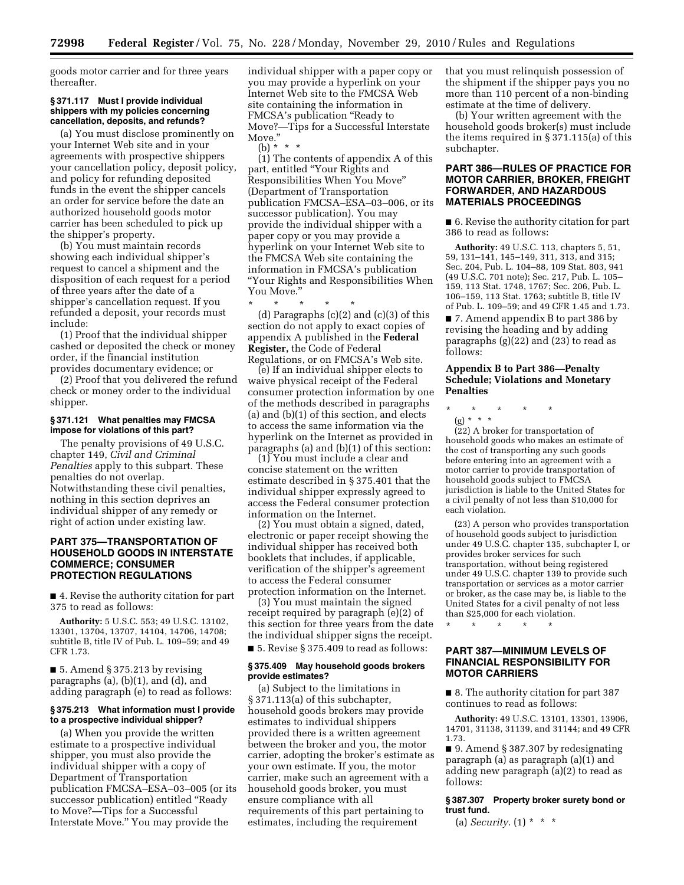goods motor carrier and for three years thereafter.

### **§ 371.117 Must I provide individual shippers with my policies concerning cancellation, deposits, and refunds?**

(a) You must disclose prominently on your Internet Web site and in your agreements with prospective shippers your cancellation policy, deposit policy, and policy for refunding deposited funds in the event the shipper cancels an order for service before the date an authorized household goods motor carrier has been scheduled to pick up the shipper's property.

(b) You must maintain records showing each individual shipper's request to cancel a shipment and the disposition of each request for a period of three years after the date of a shipper's cancellation request. If you refunded a deposit, your records must include:

(1) Proof that the individual shipper cashed or deposited the check or money order, if the financial institution provides documentary evidence; or

(2) Proof that you delivered the refund check or money order to the individual shipper.

#### **§ 371.121 What penalties may FMCSA impose for violations of this part?**

The penalty provisions of 49 U.S.C. chapter 149, *Civil and Criminal Penalties* apply to this subpart. These penalties do not overlap. Notwithstanding these civil penalties, nothing in this section deprives an individual shipper of any remedy or right of action under existing law.

# **PART 375—TRANSPORTATION OF HOUSEHOLD GOODS IN INTERSTATE COMMERCE; CONSUMER PROTECTION REGULATIONS**

■ 4. Revise the authority citation for part 375 to read as follows:

**Authority:** 5 U.S.C. 553; 49 U.S.C. 13102, 13301, 13704, 13707, 14104, 14706, 14708; subtitle B, title IV of Pub. L. 109–59; and 49 CFR 1.73.

 $\blacksquare$  5. Amend § 375.213 by revising paragraphs (a), (b)(1), and (d), and adding paragraph (e) to read as follows:

#### **§ 375.213 What information must I provide to a prospective individual shipper?**

(a) When you provide the written estimate to a prospective individual shipper, you must also provide the individual shipper with a copy of Department of Transportation publication FMCSA–ESA–03–005 (or its successor publication) entitled ''Ready to Move?—Tips for a Successful Interstate Move.'' You may provide the

individual shipper with a paper copy or you may provide a hyperlink on your Internet Web site to the FMCSA Web site containing the information in FMCSA's publication ''Ready to Move?—Tips for a Successful Interstate Move.''

(b) \* \* \*

(1) The contents of appendix A of this part, entitled ''Your Rights and Responsibilities When You Move'' (Department of Transportation publication FMCSA–ESA–03–006, or its successor publication). You may provide the individual shipper with a paper copy or you may provide a hyperlink on your Internet Web site to the FMCSA Web site containing the information in FMCSA's publication ''Your Rights and Responsibilities When You Move.''

\* \* \* \* \* (d) Paragraphs  $(c)(2)$  and  $(c)(3)$  of this section do not apply to exact copies of appendix A published in the **Federal Register,** the Code of Federal Regulations, or on FMCSA's Web site.

(e) If an individual shipper elects to waive physical receipt of the Federal consumer protection information by one of the methods described in paragraphs (a) and (b)(1) of this section, and elects to access the same information via the hyperlink on the Internet as provided in paragraphs (a) and (b)(1) of this section:

(1) You must include a clear and concise statement on the written estimate described in § 375.401 that the individual shipper expressly agreed to access the Federal consumer protection information on the Internet.

(2) You must obtain a signed, dated, electronic or paper receipt showing the individual shipper has received both booklets that includes, if applicable, verification of the shipper's agreement to access the Federal consumer protection information on the Internet.

(3) You must maintain the signed receipt required by paragraph (e)(2) of this section for three years from the date the individual shipper signs the receipt. ■ 5. Revise § 375.409 to read as follows:

#### **§ 375.409 May household goods brokers provide estimates?**

(a) Subject to the limitations in § 371.113(a) of this subchapter, household goods brokers may provide estimates to individual shippers provided there is a written agreement between the broker and you, the motor carrier, adopting the broker's estimate as your own estimate. If you, the motor carrier, make such an agreement with a household goods broker, you must ensure compliance with all requirements of this part pertaining to estimates, including the requirement

that you must relinquish possession of the shipment if the shipper pays you no more than 110 percent of a non-binding estimate at the time of delivery.

(b) Your written agreement with the household goods broker(s) must include the items required in § 371.115(a) of this subchapter.

# **PART 386—RULES OF PRACTICE FOR MOTOR CARRIER, BROKER, FREIGHT FORWARDER, AND HAZARDOUS MATERIALS PROCEEDINGS**

■ 6. Revise the authority citation for part 386 to read as follows:

**Authority:** 49 U.S.C. 113, chapters 5, 51, 59, 131–141, 145–149, 311, 313, and 315; Sec. 204, Pub. L. 104–88, 109 Stat. 803, 941 (49 U.S.C. 701 note); Sec. 217, Pub. L. 105– 159, 113 Stat. 1748, 1767; Sec. 206, Pub. L. 106–159, 113 Stat. 1763; subtitle B, title IV of Pub. L. 109–59; and 49 CFR 1.45 and 1.73.

■ 7. Amend appendix B to part 386 by revising the heading and by adding paragraphs (g)(22) and (23) to read as follows:

## **Appendix B to Part 386—Penalty Schedule; Violations and Monetary Penalties**

\* \* \* \* \*

(g) \* \* \*

(22) A broker for transportation of household goods who makes an estimate of the cost of transporting any such goods before entering into an agreement with a motor carrier to provide transportation of household goods subject to FMCSA jurisdiction is liable to the United States for a civil penalty of not less than \$10,000 for each violation.

(23) A person who provides transportation of household goods subject to jurisdiction under 49 U.S.C. chapter 135, subchapter I, or provides broker services for such transportation, without being registered under 49 U.S.C. chapter 139 to provide such transportation or services as a motor carrier or broker, as the case may be, is liable to the United States for a civil penalty of not less than \$25,000 for each violation.

\* \* \* \* \*

# **PART 387—MINIMUM LEVELS OF FINANCIAL RESPONSIBILITY FOR MOTOR CARRIERS**

■ 8. The authority citation for part 387 continues to read as follows:

**Authority:** 49 U.S.C. 13101, 13301, 13906, 14701, 31138, 31139, and 31144; and 49 CFR 1.73.

■ 9. Amend § 387.307 by redesignating paragraph (a) as paragraph (a)(1) and adding new paragraph (a)(2) to read as follows:

### **§ 387.307 Property broker surety bond or trust fund.**

(a) *Security.* (1) \* \* \*